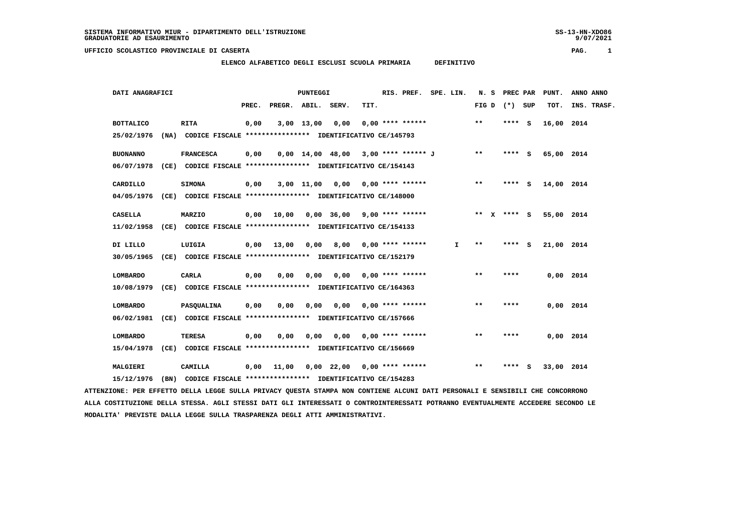9/07/2021

## **UFFICIO SCOLASTICO PROVINCIALE DI CASERTA PAG. 1**

## **ELENCO ALFABETICO DEGLI ESCLUSI SCUOLA PRIMARIA DEFINITIVO**

| DATI ANAGRAFICI                                                         |                                                               | <b>PUNTEGGI</b> |                    |      |                 |                                                        | RIS. PREF. SPE. LIN. |    | N. S            | <b>PREC PAR</b> | PUNT.      | ANNO ANNO   |
|-------------------------------------------------------------------------|---------------------------------------------------------------|-----------------|--------------------|------|-----------------|--------------------------------------------------------|----------------------|----|-----------------|-----------------|------------|-------------|
|                                                                         |                                                               | PREC.           | PREGR. ABIL. SERV. |      |                 | TIT.                                                   |                      |    | FIG D $(*)$ SUP |                 | TOT.       | INS. TRASF. |
| <b>BOTTALICO</b>                                                        | RITA                                                          | 0,00            |                    |      | 3,00 13,00 0,00 |                                                        | $0.00$ **** ******   |    | $***$           | $***$ S         | 16,00 2014 |             |
| 25/02/1976                                                              | (NA) CODICE FISCALE **************** IDENTIFICATIVO CE/145793 |                 |                    |      |                 |                                                        |                      |    |                 |                 |            |             |
| <b>BUONANNO</b>                                                         | <b>FRANCESCA</b>                                              | 0,00            |                    |      |                 | 0,00 14,00 48,00 3,00 **** ****** J                    |                      |    | $***$           | **** S          | 65,00 2014 |             |
| 06/07/1978                                                              | (CE) CODICE FISCALE **************** IDENTIFICATIVO CE/154143 |                 |                    |      |                 |                                                        |                      |    |                 |                 |            |             |
| CARDILLO                                                                | SIMONA                                                        | 0,00            |                    |      |                 | 3,00 11,00 0,00 0,00 **** ******                       |                      |    | $***$           | **** S          | 14,00 2014 |             |
| 04/05/1976 (CE) CODICE FISCALE *************** IDENTIFICATIVO CE/148000 |                                                               |                 |                    |      |                 |                                                        |                      |    |                 |                 |            |             |
| <b>CASELLA</b>                                                          | MARZIO                                                        |                 |                    |      |                 | $0,00$ $10,00$ $0,00$ $36,00$ $9,00$ $***$ $***$ $***$ |                      |    | ** $X$ **** S   |                 | 55,00 2014 |             |
| 11/02/1958                                                              | (CE) CODICE FISCALE **************** IDENTIFICATIVO CE/154133 |                 |                    |      |                 |                                                        |                      |    |                 |                 |            |             |
| DI LILLO                                                                | LUIGIA                                                        |                 |                    |      |                 | $0,00$ 13,00 0,00 8,00 0,00 **** ******                |                      | Ι. | $* *$           | **** S          | 21,00 2014 |             |
| 30/05/1965                                                              | (CE) CODICE FISCALE **************** IDENTIFICATIVO CE/152179 |                 |                    |      |                 |                                                        |                      |    |                 |                 |            |             |
| LOMBARDO                                                                | <b>CARLA</b>                                                  | 0,00            | 0,00               | 0,00 |                 | $0,00$ 0,00 **** ******                                |                      |    | $***$           | ****            |            | 0.00 2014   |
| 10/08/1979                                                              | (CE) CODICE FISCALE **************** IDENTIFICATIVO CE/164363 |                 |                    |      |                 |                                                        |                      |    |                 |                 |            |             |
| <b>LOMBARDO</b>                                                         | PASQUALINA                                                    | 0,00            | 0,00               |      |                 | $0,00$ $0,00$ $0,00$ $***$ $***$ $***$                 |                      |    | $* *$           | ****            |            | 0.00 2014   |
| 06/02/1981                                                              | (CE) CODICE FISCALE **************** IDENTIFICATIVO CE/157666 |                 |                    |      |                 |                                                        |                      |    |                 |                 |            |             |
| <b>LOMBARDO</b>                                                         | <b>TERESA</b>                                                 | 0,00            | 0,00               |      |                 | 0,00 0,00 0,00 **** ******                             |                      |    | $***$           | ****            |            | 0.00 2014   |
| 15/04/1978                                                              | (CE) CODICE FISCALE **************** IDENTIFICATIVO CE/156669 |                 |                    |      |                 |                                                        |                      |    |                 |                 |            |             |
| MALGIERI                                                                | CAMILLA                                                       |                 |                    |      |                 | $0,00$ 11,00 0,00 22,00 0,00 **** ******               |                      |    | **              | **** S          | 33,00 2014 |             |
| 15/12/1976                                                              | (BN) CODICE FISCALE **************** IDENTIFICATIVO CE/154283 |                 |                    |      |                 |                                                        |                      |    |                 |                 |            |             |

 **ATTENZIONE: PER EFFETTO DELLA LEGGE SULLA PRIVACY QUESTA STAMPA NON CONTIENE ALCUNI DATI PERSONALI E SENSIBILI CHE CONCORRONO ALLA COSTITUZIONE DELLA STESSA. AGLI STESSI DATI GLI INTERESSATI O CONTROINTERESSATI POTRANNO EVENTUALMENTE ACCEDERE SECONDO LE MODALITA' PREVISTE DALLA LEGGE SULLA TRASPARENZA DEGLI ATTI AMMINISTRATIVI.**